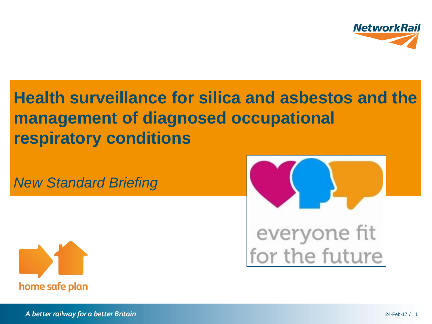

**Health surveillance for silica and asbestos and the management of diagnosed occupational respiratory conditions**

*New Standard Briefing*





A better railway for a better Britain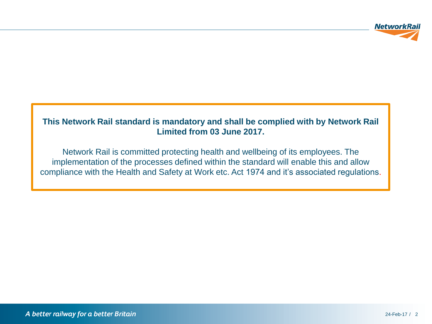

#### **This Network Rail standard is mandatory and shall be complied with by Network Rail Limited from 03 June 2017.**

Network Rail is committed protecting health and wellbeing of its employees. The implementation of the processes defined within the standard will enable this and allow compliance with the Health and Safety at Work etc. Act 1974 and it's associated regulations.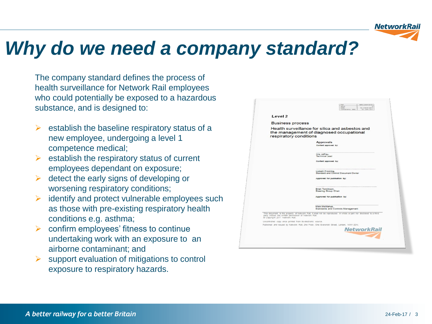

# *Why do we need a company standard?*

The company standard defines the process of health surveillance for Network Rail employees who could potentially be exposed to a hazardous substance, and is designed to:

- establish the baseline respiratory status of a new employee, undergoing a level 1 competence medical;
- $\triangleright$  establish the respiratory status of current employees dependant on exposure;
- detect the early signs of developing or worsening respiratory conditions;
- identify and protect vulnerable employees such as those with pre-existing respiratory health conditions e.g. asthma;
- confirm employees' fitness to continue undertaking work with an exposure to an airborne contaminant; and
- support evaluation of mitigations to control exposure to respiratory hazards.

| Level <sub>2</sub>                                                                      |                                                                                                                     |
|-----------------------------------------------------------------------------------------|---------------------------------------------------------------------------------------------------------------------|
| <b>Business process</b>                                                                 |                                                                                                                     |
| respiratory conditions                                                                  | Health surveillance for silica and asbestos and<br>the management of diagnosed occupational                         |
|                                                                                         | <b>Approvals</b><br>Content approved by:                                                                            |
|                                                                                         | Kris Jeffrey.<br>Technical Lead                                                                                     |
|                                                                                         | Content approved by:                                                                                                |
|                                                                                         | Lisbeth Fromling.<br>Standard and Control Document Owner                                                            |
|                                                                                         | Approved for publication by:                                                                                        |
|                                                                                         | Brian Tomlinson.<br><b>Steering Group Chair</b>                                                                     |
|                                                                                         | Approved for publication by:                                                                                        |
|                                                                                         | Mick McManus.<br>Standards and Controls Management                                                                  |
| party without the written permission of Network Rail.<br>@ Copyright 2017 Network Rail. | This document is the property of Network Rail, it shall not be reproduced in whole or part nor disclosed to a third |
| Uncontrolled copy once primed from its electronic source.                               |                                                                                                                     |
|                                                                                         | Published and Issued by Network Rail, 2nd Floor, One Evershott Street, London, NW1 2DN.                             |
|                                                                                         | <b>NetworkRail</b>                                                                                                  |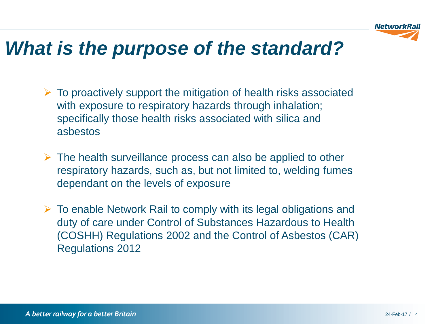

## *What is the purpose of the standard?*

- $\triangleright$  To proactively support the mitigation of health risks associated with exposure to respiratory hazards through inhalation; specifically those health risks associated with silica and asbestos
- $\triangleright$  The health surveillance process can also be applied to other respiratory hazards, such as, but not limited to, welding fumes dependant on the levels of exposure
- $\triangleright$  To enable Network Rail to comply with its legal obligations and duty of care under Control of Substances Hazardous to Health (COSHH) Regulations 2002 and the Control of Asbestos (CAR) Regulations 2012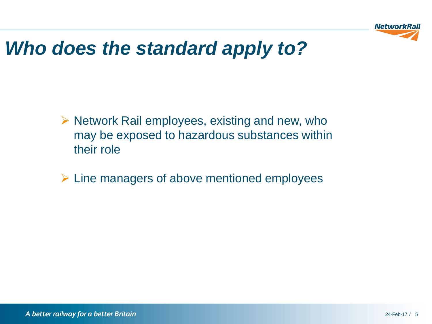

# *Who does the standard apply to?*

- $\triangleright$  Network Rail employees, existing and new, who may be exposed to hazardous substances within their role
- $\triangleright$  Line managers of above mentioned employees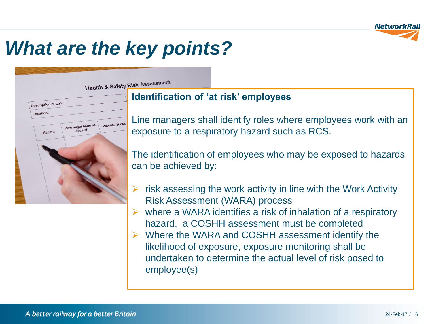

**Health & Safety Risk Assessment** 

### Description of task: Location: Persons at risk How might harm be caused Hazard

#### **Identification of 'at risk' employees**

Line managers shall identify roles where employees work with an exposure to a respiratory hazard such as RCS.

The identification of employees who may be exposed to hazards can be achieved by:

- risk assessing the work activity in line with the Work Activity Risk Assessment (WARA) process
- where a WARA identifies a risk of inhalation of a respiratory hazard, a COSHH assessment must be completed
- Where the WARA and COSHH assessment identify the likelihood of exposure, exposure monitoring shall be undertaken to determine the actual level of risk posed to employee(s)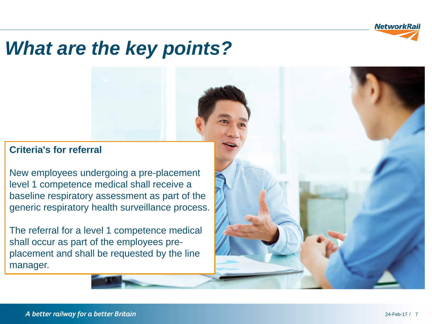

#### **Criteria's for referral**

New employees undergoing a pre-placement level 1 competence medical shall receive a baseline respiratory assessment as part of the generic respiratory health surveillance process.

The referral for a level 1 competence medical shall occur as part of the employees preplacement and shall be requested by the line manager.

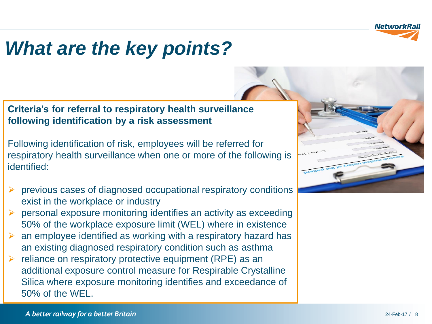

#### **Criteria's for referral to respiratory health surveillance following identification by a risk assessment**

Following identification of risk, employees will be referred for respiratory health surveillance when one or more of the following is identified:

- previous cases of diagnosed occupational respiratory conditions exist in the workplace or industry
- personal exposure monitoring identifies an activity as exceeding 50% of the workplace exposure limit (WEL) where in existence
- an employee identified as working with a respiratory hazard has an existing diagnosed respiratory condition such as asthma
- $\triangleright$  reliance on respiratory protective equipment (RPE) as an additional exposure control measure for Respirable Crystalline Silica where exposure monitoring identifies and exceedance of 50% of the WEL.

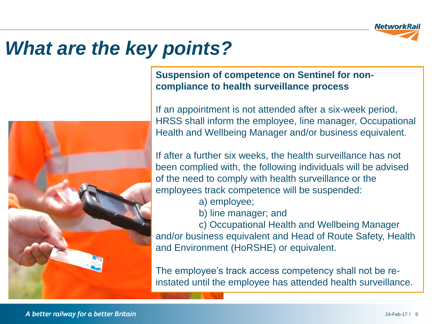



**Suspension of competence on Sentinel for noncompliance to health surveillance process**

If an appointment is not attended after a six-week period, HRSS shall inform the employee, line manager, Occupational Health and Wellbeing Manager and/or business equivalent.

If after a further six weeks, the health surveillance has not been complied with, the following individuals will be advised of the need to comply with health surveillance or the employees track competence will be suspended:

a) employee;

b) line manager; and

c) Occupational Health and Wellbeing Manager and/or business equivalent and Head of Route Safety, Health and Environment (HoRSHE) or equivalent.

The employee's track access competency shall not be reinstated until the employee has attended health surveillance.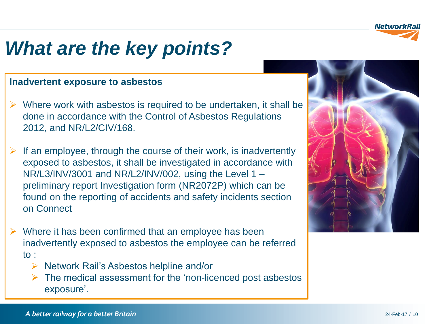

#### **Inadvertent exposure to asbestos**

- $\triangleright$  Where work with asbestos is required to be undertaken, it shall be done in accordance with the Control of Asbestos Regulations 2012, and NR/L2/CIV/168.
- If an employee, through the course of their work, is inadvertently exposed to asbestos, it shall be investigated in accordance with NR/L3/INV/3001 and NR/L2/INV/002, using the Level 1 – preliminary report Investigation form (NR2072P) which can be found on the reporting of accidents and safety incidents section on Connect
- Where it has been confirmed that an employee has been inadvertently exposed to asbestos the employee can be referred to :
	- $\triangleright$  Network Rail's Asbestos helpline and/or
	- $\triangleright$  The medical assessment for the 'non-licenced post asbestos exposure'.

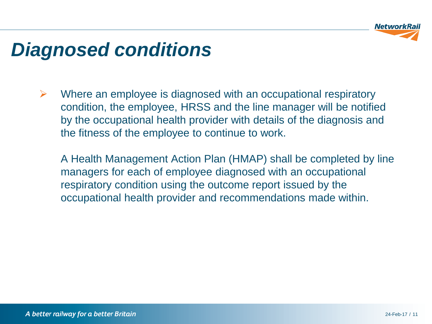

## *Diagnosed conditions*

 $\triangleright$  Where an employee is diagnosed with an occupational respiratory condition, the employee, HRSS and the line manager will be notified by the occupational health provider with details of the diagnosis and the fitness of the employee to continue to work.

A Health Management Action Plan (HMAP) shall be completed by line managers for each of employee diagnosed with an occupational respiratory condition using the outcome report issued by the occupational health provider and recommendations made within.